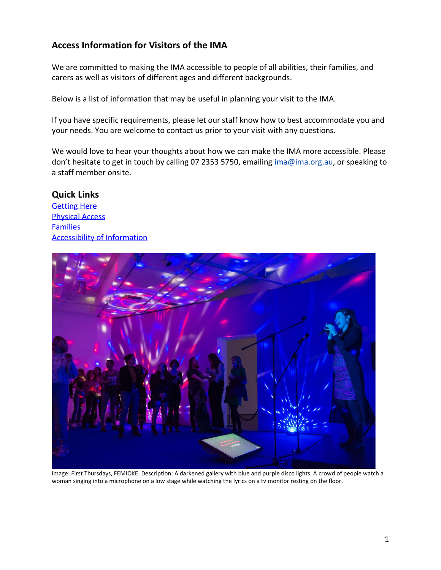## **Access Information for Visitors of the IMA**

We are committed to making the IMA accessible to people of all abilities, their families, and carers as well as visitors of different ages and different backgrounds.

Below is a list of information that may be useful in planning your visit to the IMA.

If you have specific requirements, please let our staff know how to best accommodate you and your needs. You are welcome to contact us prior to your visit with any questions.

We would love to hear your thoughts about how we can make the IMA more accessible. Please don't hesitate to get in touch by calling 07 2353 5750, emailing [ima@ima.org.au,](mailto:ima@ima.org.au) or speaking to a staff member onsite.

## **Quick Links**

Getting Here Physical Access **Families** Accessibility of Information



Image: First Thursdays, FEMIOKE. Description: A darkened gallery with blue and purple disco lights. A crowd of people watch a woman singing into a microphone on a low stage while watching the lyrics on a tv monitor resting on the floor.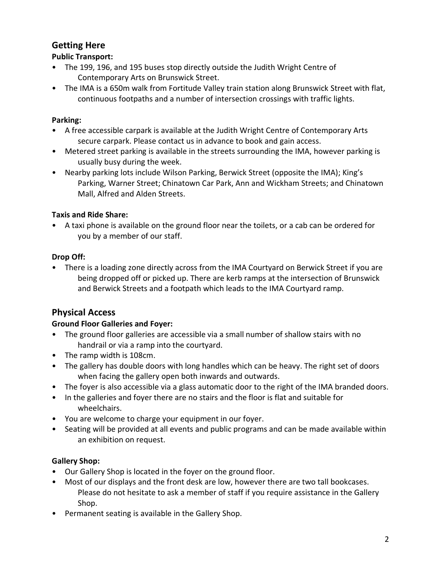# **Getting Here**

## **Public Transport:**

- The 199, 196, and 195 buses stop directly outside the Judith Wright Centre of Contemporary Arts on Brunswick Street.
- The IMA is a 650m walk from Fortitude Valley train station along Brunswick Street with flat, continuous footpaths and a number of intersection crossings with traffic lights.

### **Parking:**

- A free accessible carpark is available at the Judith Wright Centre of Contemporary Arts secure carpark. Please contact us in advance to book and gain access.
- Metered street parking is available in the streets surrounding the IMA, however parking is usually busy during the week.
- Nearby parking lots include Wilson Parking, Berwick Street (opposite the IMA); King's Parking, Warner Street; Chinatown Car Park, Ann and Wickham Streets; and Chinatown Mall, Alfred and Alden Streets.

### **Taxis and Ride Share:**

• A taxi phone is available on the ground floor near the toilets, or a cab can be ordered for you by a member of our staff.

## **Drop Off:**

• There is a loading zone directly across from the IMA Courtyard on Berwick Street if you are being dropped off or picked up. There are kerb ramps at the intersection of Brunswick and Berwick Streets and a footpath which leads to the IMA Courtyard ramp.

# **Physical Access**

### **Ground Floor Galleries and Foyer:**

- The ground floor galleries are accessible via a small number of shallow stairs with no handrail or via a ramp into the courtyard.
- The ramp width is 108cm.
- The gallery has double doors with long handles which can be heavy. The right set of doors when facing the gallery open both inwards and outwards.
- The foyer is also accessible via a glass automatic door to the right of the IMA branded doors.
- In the galleries and foyer there are no stairs and the floor is flat and suitable for wheelchairs.
- You are welcome to charge your equipment in our foyer.
- Seating will be provided at all events and public programs and can be made available within an exhibition on request.

### **Gallery Shop:**

- Our Gallery Shop is located in the foyer on the ground floor.
- Most of our displays and the front desk are low, however there are two tall bookcases. Please do not hesitate to ask a member of staff if you require assistance in the Gallery Shop.
- Permanent seating is available in the Gallery Shop.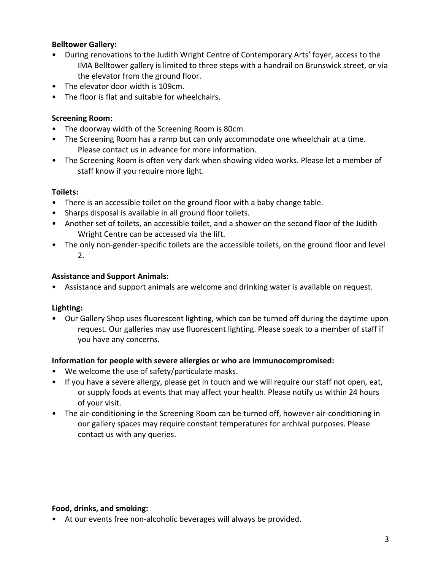### **Belltower Gallery:**

- During renovations to the Judith Wright Centre of Contemporary Arts' foyer, access to the IMA Belltower gallery is limited to three steps with a handrail on Brunswick street, or via the elevator from the ground floor.
- The elevator door width is 109cm.
- The floor is flat and suitable for wheelchairs.

### **Screening Room:**

- The doorway width of the Screening Room is 80cm.
- The Screening Room has a ramp but can only accommodate one wheelchair at a time. Please contact us in advance for more information.
- The Screening Room is often very dark when showing video works. Please let a member of staff know if you require more light.

#### **Toilets:**

- There is an accessible toilet on the ground floor with a baby change table.
- Sharps disposal is available in all ground floor toilets.
- Another set of toilets, an accessible toilet, and a shower on the second floor of the Judith Wright Centre can be accessed via the lift.
- The only non-gender-specific toilets are the accessible toilets, on the ground floor and level 2.

#### **Assistance and Support Animals:**

• Assistance and support animals are welcome and drinking water is available on request.

### **Lighting:**

• Our Gallery Shop uses fluorescent lighting, which can be turned off during the daytime upon request. Our galleries may use fluorescent lighting. Please speak to a member of staff if you have any concerns.

#### **Information for people with severe allergies or who are immunocompromised:**

- We welcome the use of safety/particulate masks.
- If you have a severe allergy, please get in touch and we will require our staff not open, eat, or supply foods at events that may affect your health. Please notify us within 24 hours of your visit.
- The air-conditioning in the Screening Room can be turned off, however air-conditioning in our gallery spaces may require constant temperatures for archival purposes. Please contact us with any queries.

#### **Food, drinks, and smoking:**

• At our events free non-alcoholic beverages will always be provided.